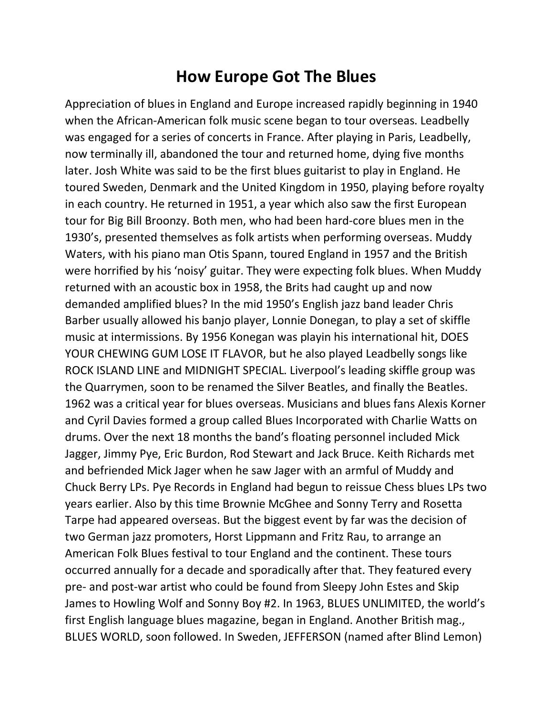## **How Europe Got The Blues**

Appreciation of blues in England and Europe increased rapidly beginning in 1940 when the African-American folk music scene began to tour overseas. Leadbelly was engaged for a series of concerts in France. After playing in Paris, Leadbelly, now terminally ill, abandoned the tour and returned home, dying five months later. Josh White was said to be the first blues guitarist to play in England. He toured Sweden, Denmark and the United Kingdom in 1950, playing before royalty in each country. He returned in 1951, a year which also saw the first European tour for Big Bill Broonzy. Both men, who had been hard-core blues men in the 1930's, presented themselves as folk artists when performing overseas. Muddy Waters, with his piano man Otis Spann, toured England in 1957 and the British were horrified by his 'noisy' guitar. They were expecting folk blues. When Muddy returned with an acoustic box in 1958, the Brits had caught up and now demanded amplified blues? In the mid 1950's English jazz band leader Chris Barber usually allowed his banjo player, Lonnie Donegan, to play a set of skiffle music at intermissions. By 1956 Konegan was playin his international hit, DOES YOUR CHEWING GUM LOSE IT FLAVOR, but he also played Leadbelly songs like ROCK ISLAND LINE and MIDNIGHT SPECIAL. Liverpool's leading skiffle group was the Quarrymen, soon to be renamed the Silver Beatles, and finally the Beatles. 1962 was a critical year for blues overseas. Musicians and blues fans Alexis Korner and Cyril Davies formed a group called Blues Incorporated with Charlie Watts on drums. Over the next 18 months the band's floating personnel included Mick Jagger, Jimmy Pye, Eric Burdon, Rod Stewart and Jack Bruce. Keith Richards met and befriended Mick Jager when he saw Jager with an armful of Muddy and Chuck Berry LPs. Pye Records in England had begun to reissue Chess blues LPs two years earlier. Also by this time Brownie McGhee and Sonny Terry and Rosetta Tarpe had appeared overseas. But the biggest event by far was the decision of two German jazz promoters, Horst Lippmann and Fritz Rau, to arrange an American Folk Blues festival to tour England and the continent. These tours occurred annually for a decade and sporadically after that. They featured every pre- and post-war artist who could be found from Sleepy John Estes and Skip James to Howling Wolf and Sonny Boy #2. In 1963, BLUES UNLIMITED, the world's first English language blues magazine, began in England. Another British mag., BLUES WORLD, soon followed. In Sweden, JEFFERSON (named after Blind Lemon)